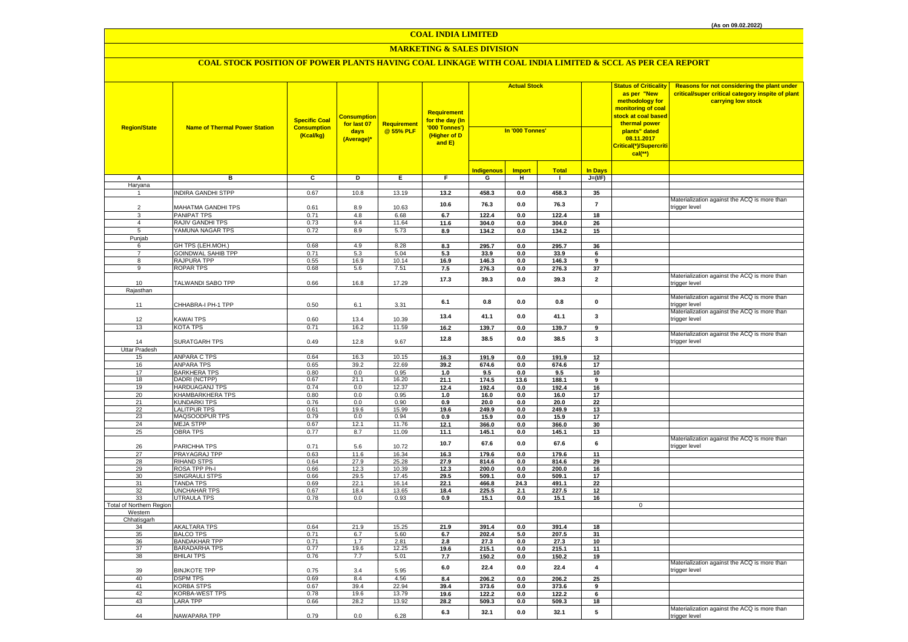# **MARKETING & SALES DIVISION**

| <b>Region/State</b>      | <b>Name of Thermal Power Station</b>         | <b>Specific Coal</b><br><b>Consumption</b><br>(Kcal/kg) | <mark>Consumption</mark><br>for last 07<br>days<br>(Average)* | Requirement<br>@ 55% PLF | <b>Requirement</b><br>for the day (In<br>'000 Tonnes')<br>(Higher of D<br>and E) | <b>Actual Stock</b><br>In '000 Tonnes' |                                  |                              |                            | <b>Status of Criticality</b><br>as per "New<br>methodology for<br>monitoring of coal<br><mark>stock at coal based</mark><br>thermal power<br>plants" dated<br>08.11.2017<br>Critical(*)/Supercriti<br>$cal$ (**) | Reasons for not considering the plant under<br>critical/super critical category inspite of plant<br>carrying low stock |
|--------------------------|----------------------------------------------|---------------------------------------------------------|---------------------------------------------------------------|--------------------------|----------------------------------------------------------------------------------|----------------------------------------|----------------------------------|------------------------------|----------------------------|------------------------------------------------------------------------------------------------------------------------------------------------------------------------------------------------------------------|------------------------------------------------------------------------------------------------------------------------|
| А                        | в                                            | C                                                       | D                                                             | Е.                       | F                                                                                | <b>Indigenous</b><br>G                 | <b>Import</b><br>н               | <b>Total</b><br>$\mathbf{I}$ | <b>In Days</b><br>$J=(VF)$ |                                                                                                                                                                                                                  |                                                                                                                        |
| Haryana                  |                                              |                                                         |                                                               |                          |                                                                                  |                                        |                                  |                              |                            |                                                                                                                                                                                                                  |                                                                                                                        |
| -1                       | <b>INDIRA GANDHI STPP</b>                    | 0.67                                                    | 10.8                                                          | 13.19                    | 13.2                                                                             | 458.3                                  | 0.0                              | 458.3                        | 35                         |                                                                                                                                                                                                                  |                                                                                                                        |
|                          |                                              |                                                         |                                                               |                          |                                                                                  |                                        |                                  |                              |                            |                                                                                                                                                                                                                  | Materialization against the ACQ is more than                                                                           |
| $\overline{2}$           | MAHATMA GANDHI TPS                           | 0.61                                                    | 8.9                                                           | 10.63                    | 10.6                                                                             | 76.3                                   | 0.0                              | 76.3                         | $\overline{7}$             |                                                                                                                                                                                                                  | trigger level                                                                                                          |
| 3                        | PANIPAT TPS                                  | 0.71                                                    | 4.8                                                           | 6.68                     | 6.7                                                                              | 122.4                                  | 0.0                              | 122.4                        | 18                         |                                                                                                                                                                                                                  |                                                                                                                        |
| $\overline{4}$           | RAJIV GANDHI TPS                             | 0.73                                                    | 9.4                                                           | 11.64                    | 11.6                                                                             | 304.0                                  | 0.0                              | 304.0                        | 26                         |                                                                                                                                                                                                                  |                                                                                                                        |
| 5                        | YAMUNA NAGAR TPS                             | 0.72                                                    | 8.9                                                           | 5.73                     | 8.9                                                                              | 134.2                                  | 0.0                              | 134.2                        | 15                         |                                                                                                                                                                                                                  |                                                                                                                        |
| Punjab                   |                                              |                                                         |                                                               |                          |                                                                                  |                                        |                                  |                              |                            |                                                                                                                                                                                                                  |                                                                                                                        |
| 6                        | GH TPS (LEH.MOH.)                            | 0.68                                                    | 4.9                                                           | 8.28                     | 8.3                                                                              | 295.7                                  | 0.0                              | 295.7                        | 36                         |                                                                                                                                                                                                                  |                                                                                                                        |
| $\overline{7}$           | <b>GOINDWAL SAHIB TPP</b>                    | 0.71                                                    | 5.3                                                           | 5.04                     | 5.3                                                                              | 33.9                                   | 0.0                              | 33.9                         | 6                          |                                                                                                                                                                                                                  |                                                                                                                        |
| 8                        | RAJPURA TPP                                  | 0.55                                                    | 16.9                                                          | 10.14                    | 16.9                                                                             | 146.3                                  | 0.0                              | 146.3                        | 9                          |                                                                                                                                                                                                                  |                                                                                                                        |
| 9                        | <b>ROPAR TPS</b>                             | 0.68                                                    | 5.6                                                           | 7.51                     | 7.5                                                                              | 276.3                                  | 0.0                              | 276.3                        | 37                         |                                                                                                                                                                                                                  |                                                                                                                        |
|                          |                                              |                                                         |                                                               |                          |                                                                                  |                                        |                                  |                              |                            |                                                                                                                                                                                                                  | Materialization against the ACQ is more than                                                                           |
| 10                       | TALWANDI SABO TPP                            | 0.66                                                    | 16.8                                                          | 17.29                    | 17.3                                                                             | 39.3                                   | 0.0                              | 39.3                         | $\mathbf 2$                |                                                                                                                                                                                                                  | trigger level                                                                                                          |
| Rajasthan                |                                              |                                                         |                                                               |                          |                                                                                  |                                        |                                  |                              |                            |                                                                                                                                                                                                                  |                                                                                                                        |
|                          |                                              |                                                         |                                                               |                          |                                                                                  | 0.8                                    | 0.0                              | 0.8                          | $\mathbf 0$                |                                                                                                                                                                                                                  | Materialization against the ACQ is more than                                                                           |
| 11                       | CHHABRA-I PH-1 TPP                           | 0.50                                                    | 6.1                                                           | 3.31                     | 6.1                                                                              |                                        |                                  |                              |                            |                                                                                                                                                                                                                  | trigger level                                                                                                          |
|                          |                                              |                                                         |                                                               |                          | 13.4                                                                             | 41.1                                   | $0.0\,$                          | 41.1                         | $\mathbf{3}$               |                                                                                                                                                                                                                  | Materialization against the ACQ is more than                                                                           |
| 12                       | KAWAI TPS                                    | 0.60                                                    | 13.4                                                          | 10.39                    |                                                                                  |                                        |                                  |                              |                            |                                                                                                                                                                                                                  | rigger level                                                                                                           |
| 13                       | KOTA TPS                                     | 0.71                                                    | 16.2                                                          | 11.59                    | $16.2$                                                                           | 139.7                                  | 0.0                              | 139.7                        | $\overline{9}$             |                                                                                                                                                                                                                  |                                                                                                                        |
|                          |                                              |                                                         |                                                               |                          | 12.8                                                                             | 38.5                                   | 0.0                              | 38.5                         | $\mathbf{3}$               |                                                                                                                                                                                                                  | Materialization against the ACQ is more than                                                                           |
| 14                       | SURATGARH TPS                                | 0.49                                                    | 12.8                                                          | 9.67                     |                                                                                  |                                        |                                  |                              |                            |                                                                                                                                                                                                                  | trigger level                                                                                                          |
| Uttar Pradesh            |                                              |                                                         |                                                               |                          |                                                                                  |                                        |                                  |                              |                            |                                                                                                                                                                                                                  |                                                                                                                        |
| 15                       | ANPARA C TPS                                 | 0.64                                                    | 16.3                                                          | 10.15                    | 16.3                                                                             | 191.9                                  | 0.0                              | 191.9                        | 12                         |                                                                                                                                                                                                                  |                                                                                                                        |
| 16                       | <b>ANPARA TPS</b>                            | 0.65                                                    | 39.2                                                          | 22.69                    | 39.2                                                                             | 674.6                                  | 0.0                              | 674.6                        | 17                         |                                                                                                                                                                                                                  |                                                                                                                        |
| 17                       | <b>BARKHERA TPS</b>                          | 0.80                                                    | 0.0                                                           | 0.95                     | 1.0                                                                              | 9.5                                    | 0.0                              | 9.5                          | 10                         |                                                                                                                                                                                                                  |                                                                                                                        |
| 18                       | DADRI (NCTPP)                                | 0.67                                                    | 21.1                                                          | 16.20                    | 21.1                                                                             | 174.5                                  | 13.6                             | 188.1                        | 9                          |                                                                                                                                                                                                                  |                                                                                                                        |
| 19                       | <b>HARDUAGANJ TPS</b>                        | 0.74                                                    | 0.0                                                           | 12.37                    | 12.4                                                                             | 192.4                                  | 0.0                              | 192.4                        | 16                         |                                                                                                                                                                                                                  |                                                                                                                        |
| 20                       | <b>KHAMBARKHERA TPS</b>                      | 0.80                                                    | 0.0                                                           | 0.95                     | $1.0$                                                                            | 16.0                                   | 0.0                              | 16.0                         | 17                         |                                                                                                                                                                                                                  |                                                                                                                        |
| 21                       | <b>KUNDARKI TPS</b>                          | 0.76                                                    | 0.0                                                           | 0.90                     | 0.9                                                                              | 20.0                                   | 0.0                              | 20.0                         | 22                         |                                                                                                                                                                                                                  |                                                                                                                        |
| 22<br>23                 | <b>LALITPUR TPS</b><br>MAQSOODPUR TPS        | 0.61                                                    | 19.6<br>0.0                                                   | 15.99<br>0.94            | 19.6                                                                             | 249.9                                  | 0.0                              | 249.9                        | 13                         |                                                                                                                                                                                                                  |                                                                                                                        |
| 24                       | <b>MEJA STPP</b>                             | 0.79<br>0.67                                            | 12.1                                                          | 11.76                    | 0.9<br>12.1                                                                      | 15.9<br>366.0                          | $\mathbf{0.0}$<br>$\mathbf{0.0}$ | 15.9<br>366.0                | $17\,$<br>30               |                                                                                                                                                                                                                  |                                                                                                                        |
| 25                       | <b>OBRA TPS</b>                              | 0.77                                                    | 8.7                                                           | 11.09                    | 11.1                                                                             | 145.1                                  | 0.0                              | 145.1                        | 13                         |                                                                                                                                                                                                                  |                                                                                                                        |
|                          |                                              |                                                         |                                                               |                          |                                                                                  |                                        |                                  |                              |                            |                                                                                                                                                                                                                  | Materialization against the ACQ is more than                                                                           |
| 26                       | PARICHHA TPS                                 | 0.71                                                    | 5.6                                                           | 10.72                    | 10.7                                                                             | 67.6                                   | 0.0                              | 67.6                         | 6                          |                                                                                                                                                                                                                  | rigger level                                                                                                           |
| 27                       | PRAYAGRAJ TPP                                | 0.63                                                    | 11.6                                                          | 16.34                    | 16.3                                                                             | 179.6                                  | 0.0                              | 179.6                        | 11                         |                                                                                                                                                                                                                  |                                                                                                                        |
| 28                       | <b>RIHAND STPS</b>                           | 0.64                                                    | 27.9                                                          | 25.28                    | 27.9                                                                             | 814.6                                  | 0.0                              | 814.6                        | 29                         |                                                                                                                                                                                                                  |                                                                                                                        |
| 29                       | ROSA TPP Ph-I                                | 0.66                                                    | 12.3                                                          | 10.39                    | 12.3                                                                             | 200.0                                  | 0.0                              | 200.0                        | 16                         |                                                                                                                                                                                                                  |                                                                                                                        |
| 30                       | SINGRAULI STPS                               | 0.66                                                    | 29.5                                                          | 17.45                    | 29.5                                                                             | 509.1                                  | 0.0                              | 509.1                        | 17                         |                                                                                                                                                                                                                  |                                                                                                                        |
| 31                       | <b><i>FANDA TPS</i></b>                      | 0.69                                                    | 22.1                                                          | 16.14                    | 22.1                                                                             | 466.8                                  | 24.3                             | 491.1                        | 22                         |                                                                                                                                                                                                                  |                                                                                                                        |
| 32                       | <b>UNCHAHAR TPS</b>                          | 0.67                                                    | 18.4                                                          | 13.65                    | 18.4                                                                             | 225.5                                  | 2.1                              | 227.5                        | 12                         |                                                                                                                                                                                                                  |                                                                                                                        |
| 33                       | <b>UTRAULA TPS</b>                           | 0.78                                                    | 0.0                                                           | 0.93                     | 0.9                                                                              | 15.1                                   | 0.0                              | 15.1                         | 16                         |                                                                                                                                                                                                                  |                                                                                                                        |
| Total of Northern Region |                                              |                                                         |                                                               |                          |                                                                                  |                                        |                                  |                              |                            | $\mathbf{0}$                                                                                                                                                                                                     |                                                                                                                        |
| Western                  |                                              |                                                         |                                                               |                          |                                                                                  |                                        |                                  |                              |                            |                                                                                                                                                                                                                  |                                                                                                                        |
| Chhatisgarh              |                                              |                                                         |                                                               |                          |                                                                                  |                                        |                                  |                              |                            |                                                                                                                                                                                                                  |                                                                                                                        |
| 34                       | AKALTARA TPS                                 | 0.64                                                    | 21.9                                                          | 15.25                    | 21.9                                                                             | 391.4                                  | 0.0                              | 391.4                        | 18                         |                                                                                                                                                                                                                  |                                                                                                                        |
| 35                       | <b>BALCO TPS</b>                             | 0.71                                                    | 6.7                                                           | 5.60                     | 6.7                                                                              | 202.4                                  | 5.0                              | 207.5                        | 31                         |                                                                                                                                                                                                                  |                                                                                                                        |
| 36<br>37                 | <b>BANDAKHAR TPP</b><br><b>BARADARHA TPS</b> | 0.71<br>0.77                                            | 1.7<br>19.6                                                   | 2.81<br>12.25            | 2.8<br>19.6                                                                      | 27.3<br>215.1                          | 0.0<br>0.0                       | 27.3<br>215.1                | 10<br>11                   |                                                                                                                                                                                                                  |                                                                                                                        |
| 38                       | <b>BHILAI TPS</b>                            | 0.76                                                    | 7.7                                                           | 5.01                     | 7.7                                                                              | 150.2                                  | 0.0                              | 150.2                        | 19                         |                                                                                                                                                                                                                  |                                                                                                                        |
|                          |                                              |                                                         |                                                               |                          |                                                                                  |                                        |                                  |                              |                            |                                                                                                                                                                                                                  | Materialization against the ACQ is more than                                                                           |
| 39                       | <b>BINJKOTE TPP</b>                          | 0.75                                                    | 3.4                                                           | 5.95                     | 6.0                                                                              | 22.4                                   | $\mathbf{0.0}$                   | 22.4                         | $\boldsymbol{4}$           |                                                                                                                                                                                                                  | trigger level                                                                                                          |
| 40                       | <b>DSPM TPS</b>                              | 0.69                                                    | 8.4                                                           | 4.56                     | 8.4                                                                              | 206.2                                  | 0.0                              | 206.2                        | 25                         |                                                                                                                                                                                                                  |                                                                                                                        |
| 41                       | <b>KORBA STPS</b>                            | 0.67                                                    | 39.4                                                          | 22.94                    | 39.4                                                                             | 373.6                                  | 0.0                              | 373.6                        | 9                          |                                                                                                                                                                                                                  |                                                                                                                        |
| 42                       | KORBA-WEST TPS                               | 0.78                                                    | 19.6                                                          | 13.79                    | 19.6                                                                             | 122.2                                  | 0.0                              | 122.2                        | 6                          |                                                                                                                                                                                                                  |                                                                                                                        |
| 43                       | <b>LARA TPP</b>                              | 0.66                                                    | 28.2                                                          | 13.92                    | 28.2                                                                             | 509.3                                  | 0.0                              | 509.3                        | 18                         |                                                                                                                                                                                                                  |                                                                                                                        |
|                          |                                              |                                                         |                                                               |                          |                                                                                  |                                        |                                  |                              |                            |                                                                                                                                                                                                                  | Materialization against the ACQ is more than                                                                           |
| 44                       | NAWAPARA TPP                                 | 0.79                                                    | 0.0                                                           | 6.28                     | 6.3                                                                              | 32.1                                   | 0.0                              | 32.1                         | 5                          |                                                                                                                                                                                                                  | trigger level                                                                                                          |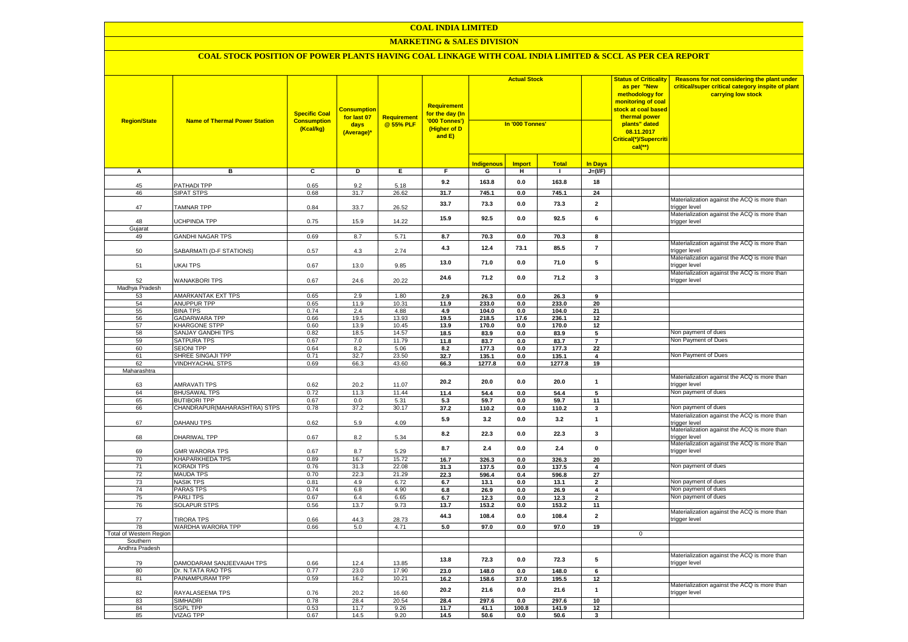### **MARKETING & SALES DIVISION**

| <b>Region/State</b>            | <b>Name of Thermal Power Station</b>    | <b>Specific Coal</b><br><b>Consumption</b><br>(Kcal/kg) | <u>Consumption</u><br>for last 07<br>days<br>(Average)* | Requirement<br>@ 55% PLF | Requirement<br>for the day (In<br>'000 Tonnes')<br>(Higher of D<br>and E) | <b>Actual Stock</b><br>In '000 Tonnes' |               |              |                         | <b>Status of Criticality</b><br>as per "New<br>methodology for<br>monitoring of coal<br>stock at coal based<br>thermal power<br>plants" dated<br>08.11.2017<br>Critical(*)/Supercriti<br>$cal$ (**) | Reasons for not considering the plant under<br>critical/super critical category inspite of plant<br>carrying low stock |
|--------------------------------|-----------------------------------------|---------------------------------------------------------|---------------------------------------------------------|--------------------------|---------------------------------------------------------------------------|----------------------------------------|---------------|--------------|-------------------------|-----------------------------------------------------------------------------------------------------------------------------------------------------------------------------------------------------|------------------------------------------------------------------------------------------------------------------------|
|                                |                                         |                                                         |                                                         |                          |                                                                           | <b>Indigenous</b>                      | <b>Import</b> | <b>Total</b> | In Days                 |                                                                                                                                                                                                     |                                                                                                                        |
| Α                              | в                                       | c                                                       | D                                                       | Е                        | F.                                                                        | G                                      | н             | $\mathbf{L}$ | $J=(VF)$                |                                                                                                                                                                                                     |                                                                                                                        |
|                                |                                         |                                                         |                                                         |                          | 9.2                                                                       | 163.8                                  | 0.0           | 163.8        | 18                      |                                                                                                                                                                                                     |                                                                                                                        |
| 45<br>46                       | <b>ATHADI TPP</b><br><b>SIPAT STPS</b>  | 0.65<br>0.68                                            | 9.2<br>31.7                                             | 5.18<br>26.62            | 31.7                                                                      | 745.1                                  | 0.0           | 745.1        | 24                      |                                                                                                                                                                                                     |                                                                                                                        |
|                                |                                         |                                                         |                                                         |                          |                                                                           |                                        |               |              |                         |                                                                                                                                                                                                     | Materialization against the ACQ is more than                                                                           |
| 47                             | TAMNAR TPP                              | 0.84                                                    | 33.7                                                    | 26.52                    | 33.7                                                                      | 73.3                                   | 0.0           | 73.3         | $\overline{\mathbf{2}}$ |                                                                                                                                                                                                     | trigger level                                                                                                          |
|                                |                                         |                                                         |                                                         |                          | 15.9                                                                      | 92.5                                   | 0.0           | 92.5         | 6                       |                                                                                                                                                                                                     | Materialization against the ACQ is more than                                                                           |
| 48                             | <b>JCHPINDA TPP</b>                     | 0.75                                                    | 15.9                                                    | 14.22                    |                                                                           |                                        |               |              |                         |                                                                                                                                                                                                     | trigger level                                                                                                          |
| Gujarat                        |                                         |                                                         |                                                         |                          |                                                                           |                                        |               |              |                         |                                                                                                                                                                                                     |                                                                                                                        |
| 49                             | <b>GANDHI NAGAR TPS</b>                 | 0.69                                                    | 8.7                                                     | 5.71                     | 8.7                                                                       | 70.3                                   | 0.0           | 70.3         | 8                       |                                                                                                                                                                                                     |                                                                                                                        |
| 50                             | SABARMATI (D-F STATIONS)                | 0.57                                                    | 4.3                                                     | 2.74                     | 4.3                                                                       | 12.4                                   | 73.1          | 85.5         | $\overline{\mathbf{r}}$ |                                                                                                                                                                                                     | Materialization against the ACQ is more than<br>trigger level                                                          |
|                                |                                         |                                                         |                                                         |                          |                                                                           |                                        |               |              |                         |                                                                                                                                                                                                     | Materialization against the ACQ is more than                                                                           |
| 51                             | UKAI TPS                                | 0.67                                                    | 13.0                                                    | 9.85                     | 13.0                                                                      | 71.0                                   | 0.0           | 71.0         | 5                       |                                                                                                                                                                                                     | trigger level                                                                                                          |
|                                |                                         |                                                         |                                                         |                          |                                                                           |                                        |               |              |                         |                                                                                                                                                                                                     | Materialization against the ACQ is more than                                                                           |
| 52                             | <b>WANAKBORI TPS</b>                    | 0.67                                                    | 24.6                                                    | 20.22                    | 24.6                                                                      | 71.2                                   | 0.0           | 71.2         | 3                       |                                                                                                                                                                                                     | trigger level                                                                                                          |
| Madhya Pradesh                 |                                         |                                                         |                                                         |                          |                                                                           |                                        |               |              |                         |                                                                                                                                                                                                     |                                                                                                                        |
| 53                             | AMARKANTAK EXT TPS                      | 0.65                                                    | 2.9                                                     | 1.80                     | 2.9                                                                       | 26.3                                   | 0.0           | 26.3         | 9                       |                                                                                                                                                                                                     |                                                                                                                        |
| 54                             | <b>ANUPPUR TPP</b>                      | 0.65                                                    | 11.9                                                    | 10.31                    | 11.9                                                                      | 233.0                                  | 0.0           | 233.0        | 20                      |                                                                                                                                                                                                     |                                                                                                                        |
| 55                             | <b>BINA TPS</b>                         | 0.74                                                    | 2.4                                                     | 4.88                     | 4.9                                                                       | 104.0                                  | 0.0           | 104.0        | 21                      |                                                                                                                                                                                                     |                                                                                                                        |
| 56                             | GADARWARA TPP                           | 0.66                                                    | 19.5                                                    | 13.93                    | 19.5                                                                      | 218.5                                  | 17.6          | 236.1        | 12                      |                                                                                                                                                                                                     |                                                                                                                        |
| 57                             | KHARGONE STPP                           | 0.60<br>0.82                                            | 13.9<br>18.5                                            | 10.45<br>14.57           | 13.9                                                                      | 170.0                                  | 0.0           | 170.0        | 12                      |                                                                                                                                                                                                     | Non payment of dues                                                                                                    |
| 58<br>59                       | SANJAY GANDHI TPS<br><b>SATPURA TPS</b> | 0.67                                                    | 7.0                                                     | 11.79                    | 18.5<br>11.8                                                              | 83.9<br>83.7                           | 0.0<br>0.0    | 83.9<br>83.7 | 5<br>$\overline{7}$     |                                                                                                                                                                                                     | Non Payment of Dues                                                                                                    |
| 60                             | <b>SEIONI TPP</b>                       | 0.64                                                    | 8.2                                                     | 5.06                     | 8.2                                                                       | 177.3                                  | 0.0           | 177.3        | 22                      |                                                                                                                                                                                                     |                                                                                                                        |
| 61                             | SHREE SINGAJI TPP                       | 0.71                                                    | 32.7                                                    | 23.50                    | 32.7                                                                      | 135.1                                  | $0.0\,$       | 135.1        | 4                       |                                                                                                                                                                                                     | Non Payment of Dues                                                                                                    |
| 62                             | <b>VINDHYACHAL STPS</b>                 | 0.69                                                    | 66.3                                                    | 43.60                    | 66.3                                                                      | 1277.8                                 | 0.0           | 1277.8       | 19                      |                                                                                                                                                                                                     |                                                                                                                        |
| Maharashtra                    |                                         |                                                         |                                                         |                          |                                                                           |                                        |               |              |                         |                                                                                                                                                                                                     |                                                                                                                        |
|                                |                                         |                                                         |                                                         |                          |                                                                           |                                        |               |              |                         |                                                                                                                                                                                                     | Materialization against the ACQ is more than                                                                           |
| 63                             | AMRAVATI TPS                            | 0.62                                                    | 20.2                                                    | 11.07                    | 20.2                                                                      | 20.0                                   | 0.0           | 20.0         | $\mathbf{1}$            |                                                                                                                                                                                                     | trigger level                                                                                                          |
| 64                             | <b>BHUSAWAL TPS</b>                     | 0.72                                                    | 11.3                                                    | 11.44                    | 11.4                                                                      | 54.4                                   | 0.0           | 54.4         | $\overline{\mathbf{5}}$ |                                                                                                                                                                                                     | Non payment of dues                                                                                                    |
| 65                             | <b>BUTIBORI TPP</b>                     | 0.67                                                    | 0.0                                                     | 5.31                     | 5.3                                                                       | 59.7                                   | 0.0           | 59.7         | 11                      |                                                                                                                                                                                                     |                                                                                                                        |
| 66                             | CHANDRAPUR(MAHARASHTRA) STPS            | 0.78                                                    | 37.2                                                    | 30.17                    | 37.2                                                                      | 110.2                                  | 0.0           | 110.2        | 3                       |                                                                                                                                                                                                     | Non payment of dues                                                                                                    |
|                                |                                         |                                                         |                                                         |                          | 5.9                                                                       | 3.2                                    | 0.0           | 3.2          | $\mathbf{1}$            |                                                                                                                                                                                                     | Materialization against the ACQ is more than                                                                           |
| 67                             | <b>DAHANU TPS</b>                       | 0.62                                                    | 5.9                                                     | 4.09                     |                                                                           |                                        |               |              |                         |                                                                                                                                                                                                     | trigger level                                                                                                          |
| 68                             | DHARIWAL TPP                            | 0.67                                                    | 8.2                                                     | 5.34                     | 8.2                                                                       | 22.3                                   | 0.0           | 22.3         | 3                       |                                                                                                                                                                                                     | Materialization against the ACQ is more than<br>trigger level                                                          |
|                                |                                         |                                                         |                                                         |                          |                                                                           |                                        |               |              |                         |                                                                                                                                                                                                     | Materialization against the ACQ is more than                                                                           |
| 69                             | GMR WARORA TPS                          | 0.67                                                    | 8.7                                                     | 5.29                     | 8.7                                                                       | $2.4$                                  | 0.0           | 2.4          | $\pmb{0}$               |                                                                                                                                                                                                     | trigger level                                                                                                          |
| 70                             | KHAPARKHEDA TPS                         | 0.89                                                    | 16.7                                                    | 15.72                    | 16.7                                                                      | 326.3                                  | 0.0           | 326.3        | 20                      |                                                                                                                                                                                                     |                                                                                                                        |
| 71                             | <b>KORADI TPS</b>                       | 0.76                                                    | 31.3                                                    | 22.08                    | 31.3                                                                      | 137.5                                  | 0.0           | 137.5        | 4                       |                                                                                                                                                                                                     | Non payment of dues                                                                                                    |
| 72                             | <b>MAUDA TPS</b>                        | 0.70                                                    | 22.3                                                    | 21.29                    | 22.3                                                                      | 596.4                                  | 0.4           | 596.8        | 27                      |                                                                                                                                                                                                     |                                                                                                                        |
| 73                             | <b>NASIK TPS</b>                        | 0.81                                                    | 4.9                                                     | 6.72                     | 6.7                                                                       | 13.1                                   | 0.0           | 13.1         | $\overline{2}$          |                                                                                                                                                                                                     | Non payment of dues                                                                                                    |
| 74                             | PARAS TPS                               | 0.74                                                    | 6.8                                                     | 4.90                     | 6.8                                                                       | 26.9                                   | 0.0           | 26.9         | 4                       |                                                                                                                                                                                                     | Non payment of dues                                                                                                    |
| 75                             | PARLI TPS                               | 0.67                                                    | 6.4                                                     | 6.65                     | 6.7                                                                       | 12.3                                   | 0.0           | 12.3         | $\overline{\mathbf{2}}$ |                                                                                                                                                                                                     | Non payment of dues                                                                                                    |
| 76                             | <b>SOLAPUR STPS</b>                     | 0.56                                                    | 13.7                                                    | 9.73                     | 13.7                                                                      | 153.2                                  | 0.0           | 153.2        | 11                      |                                                                                                                                                                                                     | Materialization against the ACQ is more than                                                                           |
| 77                             | <b>TIRORA TPS</b>                       | 0.66                                                    | 44.3                                                    | 28.73                    | 44.3                                                                      | 108.4                                  | 0.0           | 108.4        | $\overline{\mathbf{2}}$ |                                                                                                                                                                                                     | trigger level                                                                                                          |
| 78                             | WARDHA WARORA TPP                       | 0.66                                                    | 5.0                                                     | 4.71                     | 5.0                                                                       | 97.0                                   | 0.0           | 97.0         | 19                      |                                                                                                                                                                                                     |                                                                                                                        |
| <b>Total of Western Region</b> |                                         |                                                         |                                                         |                          |                                                                           |                                        |               |              |                         | $\mathbf 0$                                                                                                                                                                                         |                                                                                                                        |
| Southern                       |                                         |                                                         |                                                         |                          |                                                                           |                                        |               |              |                         |                                                                                                                                                                                                     |                                                                                                                        |
| Andhra Pradesh                 |                                         |                                                         |                                                         |                          |                                                                           |                                        |               |              |                         |                                                                                                                                                                                                     |                                                                                                                        |
|                                |                                         |                                                         |                                                         |                          | 13.8                                                                      | 72.3                                   | 0.0           | 72.3         | 5                       |                                                                                                                                                                                                     | Materialization against the ACQ is more than                                                                           |
| 79                             | DAMODARAM SANJEEVAIAH TPS               | 0.66                                                    | 12.4                                                    | 13.85                    |                                                                           |                                        |               |              |                         |                                                                                                                                                                                                     | trigger level                                                                                                          |
| 80<br>81                       | Dr. N.TATA RAO TPS<br>PAINAMPURAM TPP   | 0.77                                                    | 23.0                                                    | 17.90<br>10.21           | 23.0                                                                      | 148.0                                  | 0.0           | 148.0        | 6                       |                                                                                                                                                                                                     |                                                                                                                        |
|                                |                                         | 0.59                                                    | 16.2                                                    |                          | 16.2                                                                      | 158.6                                  | 37.0          | 195.5        | 12                      |                                                                                                                                                                                                     | Materialization against the ACQ is more than                                                                           |
| 82                             | RAYALASEEMA TPS                         | 0.76                                                    | 20.2                                                    | 16.60                    | 20.2                                                                      | 21.6                                   | $0.0\,$       | 21.6         | $\mathbf 1$             |                                                                                                                                                                                                     | trigger level                                                                                                          |
| 83                             | <b>SIMHADRI</b>                         | 0.78                                                    | 28.4                                                    | 20.54                    | 28.4                                                                      | 297.6                                  | 0.0           | 297.6        | 10                      |                                                                                                                                                                                                     |                                                                                                                        |
| 84                             | SGPL TPP                                | 0.53                                                    | 11.7                                                    | 9.26                     | 11.7                                                                      | 41.1                                   | 100.8         | 141.9        | 12                      |                                                                                                                                                                                                     |                                                                                                                        |
| 85                             | <b>VIZAG TPP</b>                        | 0.67                                                    | 14.5                                                    | 9.20                     | 14.5                                                                      | 50.6                                   | 0.0           | 50.6         | $\overline{\mathbf{3}}$ |                                                                                                                                                                                                     |                                                                                                                        |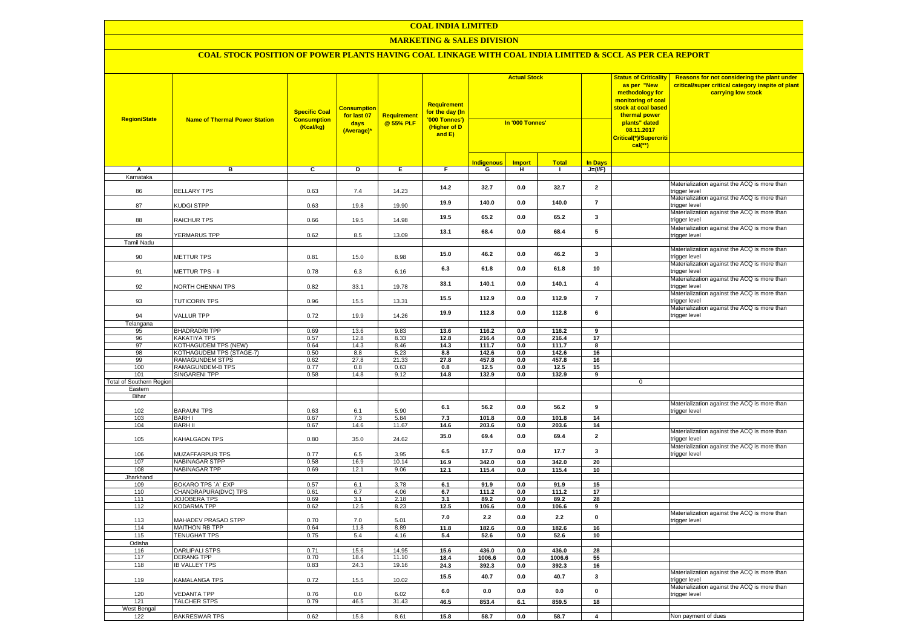# **MARKETING & SALES DIVISION**

| <b>Region/State</b>             | <b>Name of Thermal Power Station</b>                    | <b>Specific Coal</b><br><b>Consumption</b><br>(Kcal/kg) | <mark>Consumption</mark><br>for last 07<br>days<br>(Average)* | <b>Requirement</b><br>@ 55% PLF | Requirement<br>for the day (In<br>'000 Tonnes')<br>(Higher of D<br>and E) | <b>Actual Stock</b><br>In '000 Tonnes' |               |                |                         | <b>Status of Criticality</b><br>as per "New<br>methodology for<br>monitoring of coal<br>stock at coal based<br>thermal power<br>plants" dated<br>08.11.2017<br>Critical(*)/Supercriti<br>$cal$ (**) | Reasons for not considering the plant under<br>critical/super critical category inspite of plant<br>carrying low stock |
|---------------------------------|---------------------------------------------------------|---------------------------------------------------------|---------------------------------------------------------------|---------------------------------|---------------------------------------------------------------------------|----------------------------------------|---------------|----------------|-------------------------|-----------------------------------------------------------------------------------------------------------------------------------------------------------------------------------------------------|------------------------------------------------------------------------------------------------------------------------|
|                                 |                                                         |                                                         |                                                               |                                 |                                                                           | <b>Indigenous</b>                      | <b>Import</b> | <b>Total</b>   | <b>In Days</b>          |                                                                                                                                                                                                     |                                                                                                                        |
| Α<br>Karnataka                  | в                                                       | C                                                       | D                                                             | Е.                              | F.                                                                        | G                                      | н             | $\blacksquare$ | $J=(VF)$                |                                                                                                                                                                                                     |                                                                                                                        |
|                                 |                                                         |                                                         |                                                               |                                 |                                                                           |                                        |               |                |                         |                                                                                                                                                                                                     | Materialization against the ACQ is more than                                                                           |
| 86                              | <b>BELLARY TPS</b>                                      | 0.63                                                    | 7.4                                                           | 14.23                           | 14.2                                                                      | 32.7                                   | 0.0           | 32.7           | $\overline{\mathbf{2}}$ |                                                                                                                                                                                                     | rigger level                                                                                                           |
|                                 |                                                         |                                                         |                                                               |                                 | 19.9                                                                      | 140.0                                  | 0.0           | 140.0          | $\overline{7}$          |                                                                                                                                                                                                     | Materialization against the ACQ is more than                                                                           |
| 87                              | KUDGI STPP                                              | 0.63                                                    | 19.8                                                          | 19.90                           |                                                                           |                                        |               |                |                         |                                                                                                                                                                                                     | trigger level<br>Materialization against the ACQ is more than                                                          |
| 88                              | RAICHUR TPS                                             | 0.66                                                    | 19.5                                                          | 14.98                           | 19.5                                                                      | 65.2                                   | 0.0           | 65.2           | 3                       |                                                                                                                                                                                                     | rigger level                                                                                                           |
|                                 |                                                         |                                                         |                                                               |                                 |                                                                           |                                        |               |                | 5                       |                                                                                                                                                                                                     | Materialization against the ACQ is more than                                                                           |
| 89                              | <b>/ERMARUS TPP</b>                                     | 0.62                                                    | 8.5                                                           | 13.09                           | 13.1                                                                      | 68.4                                   | 0.0           | 68.4           |                         |                                                                                                                                                                                                     | trigger level                                                                                                          |
| <b>Tamil Nadu</b>               |                                                         |                                                         |                                                               |                                 |                                                                           |                                        |               |                |                         |                                                                                                                                                                                                     |                                                                                                                        |
| 90                              | METTUR TPS                                              | 0.81                                                    | 15.0                                                          | 8.98                            | 15.0                                                                      | 46.2                                   | 0.0           | 46.2           | 3                       |                                                                                                                                                                                                     | Materialization against the ACQ is more than<br>rigger level                                                           |
|                                 |                                                         |                                                         |                                                               |                                 |                                                                           |                                        |               |                |                         |                                                                                                                                                                                                     | Materialization against the ACQ is more than                                                                           |
| 91                              | <b>METTUR TPS - II</b>                                  | 0.78                                                    | 6.3                                                           | 6.16                            | 6.3                                                                       | 61.8                                   | 0.0           | 61.8           | 10                      |                                                                                                                                                                                                     | trigger level                                                                                                          |
|                                 |                                                         |                                                         |                                                               |                                 | 33.1                                                                      | 140.1                                  | 0.0           | 140.1          | 4                       |                                                                                                                                                                                                     | Materialization against the ACQ is more than                                                                           |
| 92                              | NORTH CHENNAI TPS                                       | 0.82                                                    | 33.1                                                          | 19.78                           |                                                                           |                                        |               |                |                         |                                                                                                                                                                                                     | rigger level                                                                                                           |
| 93                              | <b>TUTICORIN TPS</b>                                    | 0.96                                                    | 15.5                                                          | 13.31                           | 15.5                                                                      | 112.9                                  | 0.0           | 112.9          | $\overline{7}$          |                                                                                                                                                                                                     | Materialization against the ACQ is more than<br>rigger level                                                           |
|                                 |                                                         |                                                         |                                                               |                                 |                                                                           |                                        |               |                |                         |                                                                                                                                                                                                     | Materialization against the ACQ is more than                                                                           |
| 94                              | <b>VALLUR TPP</b>                                       | 0.72                                                    | 19.9                                                          | 14.26                           | 19.9                                                                      | 112.8                                  | 0.0           | 112.8          | 6                       |                                                                                                                                                                                                     | rigger level                                                                                                           |
| Telangana                       |                                                         |                                                         |                                                               |                                 |                                                                           |                                        |               |                |                         |                                                                                                                                                                                                     |                                                                                                                        |
| 95                              | <b>BHADRADRI TPP</b>                                    | 0.69                                                    | 13.6                                                          | 9.83                            | 13.6                                                                      | 116.2                                  | 0.0           | 116.2          | 9                       |                                                                                                                                                                                                     |                                                                                                                        |
| 96                              | <b>KAKATIYA TPS</b>                                     | 0.57                                                    | 12.8                                                          | 8.33                            | 12.8                                                                      | 216.4                                  | 0.0           | 216.4          | 17                      |                                                                                                                                                                                                     |                                                                                                                        |
| 97<br>98                        | <b>KOTHAGUDEM TPS (NEW)</b><br>KOTHAGUDEM TPS (STAGE-7) | 0.64<br>0.50                                            | 14.3<br>8.8                                                   | 8.46<br>5.23                    | 14.3                                                                      | 111.7                                  | 0.0           | 111.7          | 8                       |                                                                                                                                                                                                     |                                                                                                                        |
| 99                              | RAMAGUNDEM STPS                                         | 0.62                                                    | 27.8                                                          | 21.33                           | 8.8<br>27.8                                                               | 142.6<br>457.8                         | 0.0<br>0.0    | 142.6<br>457.8 | 16<br>16                |                                                                                                                                                                                                     |                                                                                                                        |
| 100                             | RAMAGUNDEM-B TPS                                        | 0.77                                                    | 0.8                                                           | 0.63                            | 0.8                                                                       | 12.5                                   | 0.0           | 12.5           | 15                      |                                                                                                                                                                                                     |                                                                                                                        |
| 101                             | SINGARENI TPP                                           | 0.58                                                    | 14.8                                                          | 9.12                            | 14.8                                                                      | 132.9                                  | 0.0           | 132.9          | 9                       |                                                                                                                                                                                                     |                                                                                                                        |
| <b>Total of Southern Regior</b> |                                                         |                                                         |                                                               |                                 |                                                                           |                                        |               |                |                         | $\mathbf{0}$                                                                                                                                                                                        |                                                                                                                        |
| Eastern                         |                                                         |                                                         |                                                               |                                 |                                                                           |                                        |               |                |                         |                                                                                                                                                                                                     |                                                                                                                        |
| Bihar                           |                                                         |                                                         |                                                               |                                 |                                                                           |                                        |               |                |                         |                                                                                                                                                                                                     |                                                                                                                        |
| 102                             | <b>BARAUNI TPS</b>                                      | 0.63                                                    | 6.1                                                           | 5.90                            | 6.1                                                                       | 56.2                                   | 0.0           | 56.2           | 9                       |                                                                                                                                                                                                     | Materialization against the ACQ is more than<br>rigger level                                                           |
| 103                             | <b>BARH I</b>                                           | 0.67                                                    | 7.3                                                           | 5.84                            | 7.3                                                                       | 101.8                                  | 0.0           | 101.8          | 14                      |                                                                                                                                                                                                     |                                                                                                                        |
| 104                             | <b>BARH II</b>                                          | 0.67                                                    | 14.6                                                          | 11.67                           | 14.6                                                                      | 203.6                                  | 0.0           | 203.6          | 14                      |                                                                                                                                                                                                     |                                                                                                                        |
|                                 |                                                         |                                                         |                                                               |                                 | 35.0                                                                      | 69.4                                   | 0.0           | 69.4           | $\overline{2}$          |                                                                                                                                                                                                     | Materialization against the ACQ is more than                                                                           |
| 105                             | KAHALGAON TPS                                           | 0.80                                                    | 35.0                                                          | 24.62                           |                                                                           |                                        |               |                |                         |                                                                                                                                                                                                     | rigger level<br>Materialization against the ACQ is more than                                                           |
| 106                             | MUZAFFARPUR TPS                                         | 0.77                                                    | 6.5                                                           | 3.95                            | 6.5                                                                       | 17.7                                   | 0.0           | 17.7           | $\mathbf{3}$            |                                                                                                                                                                                                     | trigger level                                                                                                          |
| 107                             | <b>NABINAGAR STPP</b>                                   | 0.58                                                    | 16.9                                                          | 10.14                           | 16.9                                                                      | 342.0                                  | 0.0           | 342.0          | 20                      |                                                                                                                                                                                                     |                                                                                                                        |
| 108                             | <b>NABINAGAR TPP</b>                                    | 0.69                                                    | 12.1                                                          | 9.06                            | 12.1                                                                      | 115.4                                  | 0.0           | 115.4          | 10                      |                                                                                                                                                                                                     |                                                                                                                        |
| Jharkhand                       |                                                         |                                                         |                                                               |                                 |                                                                           |                                        |               |                |                         |                                                                                                                                                                                                     |                                                                                                                        |
| 109                             | BOKARO TPS `A` EXP                                      | 0.57                                                    | 6.1                                                           | 3.78                            | 6.1                                                                       | 91.9                                   | 0.0           | 91.9           | 15                      |                                                                                                                                                                                                     |                                                                                                                        |
| 110                             | CHANDRAPURA(DVC) TPS                                    | 0.61                                                    | 6.7                                                           | 4.06                            | 6.7                                                                       | 111.2                                  | 0.0           | 111.2          | 17                      |                                                                                                                                                                                                     |                                                                                                                        |
| 111<br>112                      | <b>JOJOBERA TPS</b><br><b>KODARMA TPP</b>               | 0.69                                                    | 3.1<br>12.5                                                   | 2.18<br>8.23                    | 3.1<br>12.5                                                               | 89.2<br>106.6                          | 0.0<br>0.0    | 89.2<br>106.6  | 28<br>9                 |                                                                                                                                                                                                     |                                                                                                                        |
|                                 |                                                         | 0.62                                                    |                                                               |                                 |                                                                           |                                        |               |                |                         |                                                                                                                                                                                                     | Materialization against the ACQ is more than                                                                           |
| 113                             | MAHADEV PRASAD STPP                                     | 0.70                                                    | 7.0                                                           | 5.01                            | 7.0                                                                       | 2.2                                    | 0.0           | 2.2            | $\mathbf 0$             |                                                                                                                                                                                                     | rigger level                                                                                                           |
| 114                             | MAITHON RB TPP                                          | 0.64                                                    | 11.8                                                          | 8.89                            | 11.8                                                                      | 182.6                                  | 0.0           | 182.6          | 16                      |                                                                                                                                                                                                     |                                                                                                                        |
| 115                             | <b>TENUGHAT TPS</b>                                     | 0.75                                                    | 5.4                                                           | 4.16                            | 5.4                                                                       | 52.6                                   | 0.0           | 52.6           | 10                      |                                                                                                                                                                                                     |                                                                                                                        |
| Odisha<br>116                   | DARLIPALI STPS                                          | 0.71                                                    | 15.6                                                          | 14.95                           | 15.6                                                                      | 436.0                                  | 0.0           | 436.0          | 28                      |                                                                                                                                                                                                     |                                                                                                                        |
| 117                             | <b>DERANG TPP</b>                                       | 0.70                                                    | 18.4                                                          | 11.10                           | 18.4                                                                      | 1006.6                                 | $0.0\,$       | 1006.6         | 55                      |                                                                                                                                                                                                     |                                                                                                                        |
| 118                             | <b>IB VALLEY TPS</b>                                    | 0.83                                                    | 24.3                                                          | 19.16                           | 24.3                                                                      | 392.3                                  | $0.0\,$       | 392.3          | 16                      |                                                                                                                                                                                                     |                                                                                                                        |
|                                 |                                                         |                                                         |                                                               |                                 |                                                                           |                                        |               |                |                         |                                                                                                                                                                                                     | Materialization against the ACQ is more than                                                                           |
| 119                             | KAMALANGA TPS                                           | 0.72                                                    | 15.5                                                          | 10.02                           | 15.5                                                                      | 40.7                                   | 0.0           | 40.7           | $\mathbf 3$             |                                                                                                                                                                                                     | rigger level                                                                                                           |
|                                 |                                                         |                                                         |                                                               |                                 | 6.0                                                                       | 0.0                                    | 0.0           | 0.0            | $\mathbf{0}$            |                                                                                                                                                                                                     | Materialization against the ACQ is more than                                                                           |
| 120<br>121                      | <b>EDANTA TPP</b><br>TALCHER STPS                       | 0.76<br>0.79                                            | 0.0<br>46.5                                                   | 6.02<br>31.43                   | 46.5                                                                      | 853.4                                  | 6.1           | 859.5          | 18                      |                                                                                                                                                                                                     | rigger level                                                                                                           |
| West Bengal                     |                                                         |                                                         |                                                               |                                 |                                                                           |                                        |               |                |                         |                                                                                                                                                                                                     |                                                                                                                        |
| 122                             | <b>BAKRESWAR TPS</b>                                    | 0.62                                                    | 15.8                                                          | 8.61                            | 15.8                                                                      | 58.7                                   | 0.0           | 58.7           | $\overline{4}$          |                                                                                                                                                                                                     | Non payment of dues                                                                                                    |